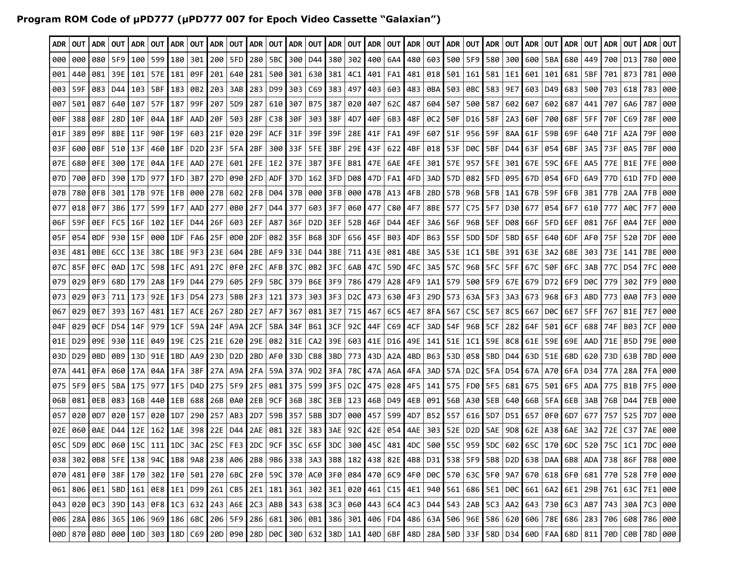## **Program ROM Code of µPD777 (µPD777 007 for Epoch Video Cassette "Galaxian")**

| ADR 1 | OUT                                                                                                                                                                                                                   |         | ADR   OUT | I ADR I      | <b>OUT</b> | ADR             | OUT              |           | I ADR ∣OUT I ADR ∣OUT I ADR ∣OUT I ADR ∣OUT I ADR ∣OUT I ADR ∣OUT I ADR ∣OUT I ADR ∣OUT |                 |                 |           |                  |             |     |                 |                                               |           |                       |           |     |                                   |       | ADR   OUT       |         | I ADR I   | OUT I | ADR               | <b>OUT</b> |            | ADR   OUT |
|-------|-----------------------------------------------------------------------------------------------------------------------------------------------------------------------------------------------------------------------|---------|-----------|--------------|------------|-----------------|------------------|-----------|-----------------------------------------------------------------------------------------|-----------------|-----------------|-----------|------------------|-------------|-----|-----------------|-----------------------------------------------|-----------|-----------------------|-----------|-----|-----------------------------------|-------|-----------------|---------|-----------|-------|-------------------|------------|------------|-----------|
| 000   | 000                                                                                                                                                                                                                   | 080     | 5F9       | 100          | 599        | 180             | 301              | 200       |                                                                                         | 5FD 280         | 5BC             | 300       | D44              | 380         | 302 | 400             | 6A4                                           |           | 480 603 500           |           |     | 5F9   580                         | 300   | 600             | 5BA     | 680       | 449   | 700               | D13        | 780        | 000       |
| 001   | 440                                                                                                                                                                                                                   | 081     |           | 39E   101    | 57E        | 181             | 09F              | 201       | 640                                                                                     | l 281           |                 | 500 301   |                  | 630   381   |     |                 | 4C1   401   FA1   481                         |           |                       | 018   501 |     | 161   581   1E1                   |       | 601             | 101     | 681       | 5BF   | 701               | 873        | 781        | 000       |
| 003   | 59F                                                                                                                                                                                                                   | 083     | D44       | 103          | 5BF        | 183             | 0B2              | 203       | 3AB                                                                                     | 283             | D99 303         |           |                  | $C69$ 383   | 497 |                 | 403   603   483                               |           |                       | 0BA   503 |     | 0BC 583 9E7                       |       | 603             | D49     | 683       | 500   | 703               | 618        | 783        | 000       |
| 007   | 501                                                                                                                                                                                                                   | 087     | 640       | l 107        | 57F        | 187             | 99F              | 207       | 5D9                                                                                     | 287             | 610             | 307       | B75              | 387         |     | 0201407         | 62C                                           | 487       |                       | 604   507 |     | 500   587                         | 602   | 607             | 602 I   | 687       | 441   | 707               | 6A6        | 787        | 000       |
| 00 F  | 388                                                                                                                                                                                                                   | 08F     |           | 28D 10F      | 04A        | 18F             | AAD              | 120F      |                                                                                         | 503   28F       | C38 30F         |           |                  | 303 38F     |     | 4D7   40F       |                                               | 6B3   48F |                       | 0C2   50F |     | D16   58F                         | 2A3   | 60F             |         | 700   68F | 5FF   | 70F               | C69        | 78F        | 000       |
| 01F   | 389                                                                                                                                                                                                                   | 09F     | 8BE       | 11F          | 90F        | 19F             | 603              | 121F      | 020                                                                                     | l 29F           | ACF             | l 31F     | 39F              | 39F         |     | 28E   41F       | FA1                                           | 49F       | 607                   | I 51F     |     | 956 59F                           | 8AA   | 61F             |         | 59B 69F   | 640   | 71F               | A2A        | 79F        | 000       |
| 03F   | 600                                                                                                                                                                                                                   | 0BF     | 510       | l 13F        | 460        | 1BF             | D <sub>2</sub> D | 23F       |                                                                                         | 5FA   2BF       |                 | 300   33F | 5FE              | ∣3BF        |     | 29E   43F       | 622                                           | 4BF       |                       | 018   53F |     | DØC   5BF                         | D44   | 63F             | 054 I   | 6BF       | 3A5   | 73F               | 0A5        | 7BF        | 000       |
| 07E   | 680                                                                                                                                                                                                                   | 0FE.    |           | 300   17E    | 04A I      | 1FE             | AAD              |           | 27E   601   2FE   1E2   37E                                                             |                 |                 |           |                  | 3B7 3FE     |     |                 | B81   47E   6AE   4FE                         |           |                       | 301   57E |     | 957   5FE   301   67E             |       |                 |         | 59C L6FE  |       | $AAS$   77E   B1E |            | 7FE        | 000       |
| 07D   | 700                                                                                                                                                                                                                   | 0FD.    |           | 390   17D    | 977        | 1FD             | 3B7              |           | 27D   090 <b> </b> 2FD                                                                  |                 | ADF I           | l 37D     |                  | $162$   3FD |     |                 | D08   47D   FA1   4FD                         |           | 3AD                   | 57D       |     | 082   5FD   095   67D             |       |                 |         | 054 6FD   |       | 6A9   77D         | 61D        | 7FD        | 000       |
| 07B   | 780                                                                                                                                                                                                                   | 0FB     |           | 301   17B    | 97E        | 1FB             | 000              |           | 27B   602   2FB   D04   37B                                                             |                 |                 |           | 000              | I 3FB I     |     |                 | 000   47B   A13   4FB                         |           |                       | 2BD   57B |     | 96B 5FB 141                       |       | 67B             | 59F     | l 6FB     | 3B1   | l 77B             | 2AA        | 7FB        | 000       |
| 077   | 018                                                                                                                                                                                                                   | 0F7     |           | 3B6 177      | 599        | 1F7             | AAD              | l 277     |                                                                                         | 0B0 2F7         | D44   377       |           |                  | 603 3F7     |     | 060   477       | C80                                           | 4F7       |                       | 8BE   577 |     | C75 5F7 D30                       |       | 677             |         | 054 6F7   |       | 610 777           | A0C        | <b>7F7</b> | 000       |
| 06F   | 59F                                                                                                                                                                                                                   | 0EF     | FC5 I     | l 16F        | 102        | 1EF             | D44              | 26F       |                                                                                         | 603   2EF       | A87             | 36F       | D <sub>2</sub> D | 3 E F       |     | 52B 46F         | D44 I                                         | 4EF       |                       | 3A6   56F |     | 96B   5EF                         | D08   | 66F             | 5FD     | l 6EF     | 081   | 76F               | 0A4        | 7EF        | 000       |
| 05F   | 054                                                                                                                                                                                                                   | 0DF.    |           | 930 I 15F    | 000        | 1DF             | FA6              | l 25F     |                                                                                         | 0D0 2DF         | 082 35F         |           |                  | B68   3DF   |     | 656   45F       | B03 I                                         | 4DF       |                       | B63 55F   |     | 5DD   5DF                         | 5BD   | 65F             | 640     | 6DF.      | AF0   | 75F               | 520        | 7DF        | 000       |
| 03E   | 481                                                                                                                                                                                                                   | 0BE.    | 6CC       | 13E          | 38C        | 1BE             | 9F3              | l 23E.    | 604                                                                                     | 2BE             | AF9   33E       |           |                  | D44   3BE   |     | 711   43E   081 |                                               | 4BE       |                       | 3A5   53E | 1C1 | 5BE   391                         |       | 63E             | 3A2     | l 6BE     | 303   | 73E               | 141        | 7BE        | 000       |
| 07C   | 85F                                                                                                                                                                                                                   | OFC I   |           | 0AD   17C    | 598        | 1FC             | A91              | l 27C l   |                                                                                         | 0F0   2FC       |                 | AFB 37C   |                  | 0B2 3FC     |     | 6AB   47C       |                                               |           | 59D   4FC   3A5   57C |           |     | 96B   5FC                         |       | 5FF   67C       |         | 50F   6FC |       | 3AB 77C           | D54        | 7FC        | 000       |
| 079   | 029                                                                                                                                                                                                                   | 0F9 I   |           | 68D   179    | 2A8 I      | 1F9             | D44              | 279       |                                                                                         | 605   2F9       | 5BC 379         |           |                  | B6E   3F9   |     |                 | 786   479   A28   4F9   1A1   579             |           |                       |           |     | 500   5F9   67E   679   D72   6F9 |       |                 |         |           |       | DOC 1779          | 302        | 7F9        | 000       |
| 073   | 029                                                                                                                                                                                                                   | 0F31    | 711       | l 173        | 92E        | 1F3             | D54              | 273       |                                                                                         |                 | 5BB 2F3 221 373 |           |                  | 303 3F3     |     |                 | D <sub>2</sub> C <sub>1</sub> 473   630   4F3 |           |                       | 29D 573   |     | 63A   5F3                         | 3A3 I | 673             |         | 968 6F3   |       | ABD   773         | 0A0        | 7F3        | 000       |
| 067   | 029                                                                                                                                                                                                                   | 0E7     | 393 167   |              | 481        | 1E7             | <b>ACE</b>       | 267       |                                                                                         | 28D 2E7         | AF7 367         |           | 081              | I 3E7       |     | 715 467         |                                               | 6C5 4E7   |                       | 8FA 567   |     | C5C   5E7                         | 8C5   | 667             | D0C     | 6E7       | 5FF   | 767               | B1E        | 7E7        | 000       |
| 04F   | 029                                                                                                                                                                                                                   | 0CF     |           | D54 I 14F    | 979 I      | 1CF             | 59A              | l 24F     |                                                                                         | A9A 2CF         |                 | 5BA   34F | B61              | l 3CF       |     | 92C   44F       |                                               | C69   4CF |                       | 3AD   54F |     | 96B   5CF                         | 282   | 64F             | 501     | 6CF       |       | 688 74F           | B03        | 7CF        | 000       |
| 01E   | D <sub>29</sub>                                                                                                                                                                                                       | 09E     |           | 930   11E    | 049        | 19E             | C <sub>25</sub>  | 21E       |                                                                                         | 620   29E   082 |                 | 31E       |                  | CA2   39E   |     |                 | 603   41E   D16   49E   141                   |           |                       | 151E      |     | 1C1   59E   8C8                   |       | 61E             |         | 59E   69E |       | AAD I 71E         | B5D        | 79E        | 000       |
| 03D   | D <sub>29</sub>                                                                                                                                                                                                       | 0BD.    |           | 0B9   13D    | 91E I      | 1BD             | AA9              |           | 23D   D2D <b> </b> 2BD                                                                  |                 | AF0 33D         |           |                  | CB8 3BD     |     |                 | 773   43D   A2A   4BD   B63   53D             |           |                       |           |     | 058   5BD                         | D44 I | 63D             |         | 51E   6BD |       | 620 73D           | 63B        | 7BD        | 000       |
| 07A   | 441                                                                                                                                                                                                                   | 0FA I   | 060       | l 17A        | 04A I      | 1FA             | 38F              |           | 27A   A9A   2FA                                                                         |                 |                 | 59A   37A |                  | 9D2   3FA   |     |                 | 78C   47A   A6A   4FA                         |           |                       | 3AD   57A |     | D2C 5FA D54                       |       | 67A             |         | A70   6FA |       | D34 77A           | 28A        | 7FA        | 000       |
| 075   | 5F9                                                                                                                                                                                                                   | 0F5     | 5BA       | l 175        | 977        | 1F5             | D4D              | 275       |                                                                                         | 5F9   2F5       |                 | 081   375 |                  | 599 3F5     |     |                 | D <sub>2</sub> C   475   028   4F5   141      |           |                       | I 575     |     | FD0   5F5                         | 681   | 675             | 501     | 6F5       |       | ADA   775         | B1B        | 7F5        | 000       |
| 06B   | 081                                                                                                                                                                                                                   |         |           | 0EB 083 116B | 440        | 1EB             |                  |           | 688   26B   0A0   2EB   9CF   36B                                                       |                 |                 |           |                  | 38C   3EB   |     |                 | 123   46B   D49   4EB   091   56B             |           |                       |           |     | A30 5EB 640                       |       | 66B             |         | 5FA   6EB |       | 3AB   76B         | D44        | 7EB        | 000       |
| 057   | 020                                                                                                                                                                                                                   | 0D7     | 020       | l 157        | 020        | 1 <sub>D7</sub> | 290              | 257       |                                                                                         | AB3 2D7         | 59B             | l 357     |                  | 5BB 3D7     |     | 000   457       | 599                                           | 4D7       |                       | B52 557   |     | 616 5D7                           | D51   | 657             |         | 0F0 6D7   | 677   | 757               | 525        | 7D7        | 000       |
| 02E   | 060                                                                                                                                                                                                                   | 0AE I   |           | D44   12E    | 162        | 1AE             |                  |           | 398 22E D44 2AE 081 32E                                                                 |                 |                 |           |                  | 383 3AE     |     |                 | 92C   42E   054   4AE                         |           |                       | 303   52E |     | D2D   5AE   9D8   62E             |       |                 | A38 6AE |           |       | 3A2 72E           | C37        | 7AE        | 000       |
| 05C   | 5D9                                                                                                                                                                                                                   | 1 0DC 1 |           | 060 I 15C    |            | 111   1DC       |                  | 3AC L 25C |                                                                                         | FE3   2DC       |                 | 9CF   35C |                  | 65F   3DC   |     |                 | 300   45C   481   4DC                         |           |                       | 500   55C |     | 959   5DC                         |       | 602 65C 170 6DC |         |           |       | 520 75C           | 1C1        | 7DC        | 000       |
|       | 038   302   0B8   5FE   138   94C   1B8   9A8   238   A06   2B8   9B6   338   3A3   3B8   182   438   82E   4B8   D31   538   5F9   5B8   D2D   638   DAA   6B8   ADA   738   86F   7B8   000                         |         |           |              |            |                 |                  |           |                                                                                         |                 |                 |           |                  |             |     |                 |                                               |           |                       |           |     |                                   |       |                 |         |           |       |                   |            |            |           |
|       | 070   481   0F0   38F   170   302   1F0   501   270   6BC   2F0   59C   370   AC0   3F0   084   470   6C9   4F0   D0C   570   63C   5F0   9A7   670   618   6F0   681   770   528   7F0   000                         |         |           |              |            |                 |                  |           |                                                                                         |                 |                 |           |                  |             |     |                 |                                               |           |                       |           |     |                                   |       |                 |         |           |       |                   |            |            |           |
|       | 061   806   0E1   5BD   161   0E8   1E1   D99   261   CB5   2E1   181   361   302   3E1   020   461   C15   4E1   940   561   686   5E1   D0C   661   6A2   6E1   29B   761   63C   7E1   080   761   63C   7E1   000 |         |           |              |            |                 |                  |           |                                                                                         |                 |                 |           |                  |             |     |                 |                                               |           |                       |           |     |                                   |       |                 |         |           |       |                   |            |            |           |
|       | 043   020   0C3   39D   143   0F8   1C3   632   243   A6E   2C3   ABB   343   638   3C3   060   443   6C4   4C3   D44   543   2AB   5C3   AA2   643   730   6C3   AB7   743   30A   7C3   000                         |         |           |              |            |                 |                  |           |                                                                                         |                 |                 |           |                  |             |     |                 |                                               |           |                       |           |     |                                   |       |                 |         |           |       |                   |            |            |           |
|       | 006   28A   086   365   106   969   186   6BC   206   5F9   286   681   306   0B1   386   301   406   FD4   486   63A   506   96E   586   620   606   78E   686   283   706   688   786   089   786   080             |         |           |              |            |                 |                  |           |                                                                                         |                 |                 |           |                  |             |     |                 |                                               |           |                       |           |     |                                   |       |                 |         |           |       |                   |            |            |           |
|       | 000  870  080  090  100  303  180  C69  200  090  280  D0C  300  632  380  1A1  400  6BF  480  28A  500  33F  58D  D34  600  FAA  68D  811  700  C08  78D  000                                                        |         |           |              |            |                 |                  |           |                                                                                         |                 |                 |           |                  |             |     |                 |                                               |           |                       |           |     |                                   |       |                 |         |           |       |                   |            |            |           |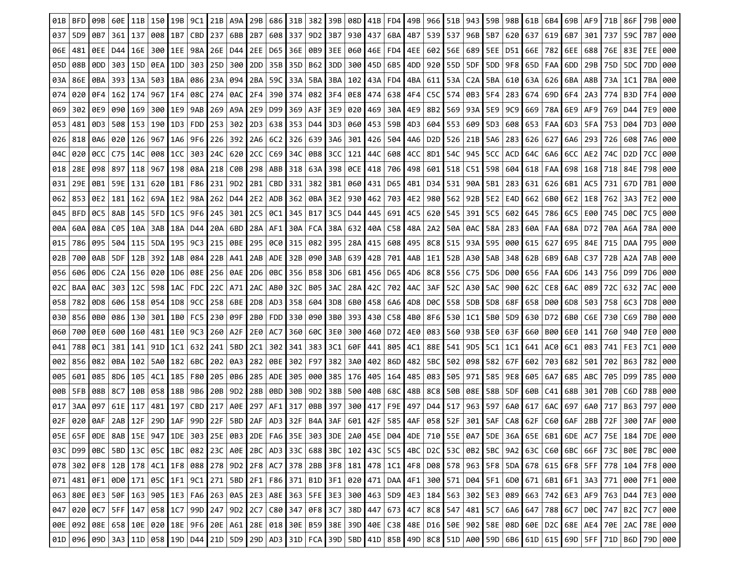| 01B | <b>BFD</b>      |           | 60E             | 11B       | 150 I                                                                                                                                                                                                                       | 19B       | 9C1  |           | 21B   A9A                         | 29B   | 686   31B       |     | 3821            | 39B       | 08D                               | 41B       | FD4 I                 | 49B | 966   | 51B | 943                                                                   | 59B | 98B 61B   |           | 6B4       | $69B$   AF9     |                    | 71B       | 86F                |     |     |
|-----|-----------------|-----------|-----------------|-----------|-----------------------------------------------------------------------------------------------------------------------------------------------------------------------------------------------------------------------------|-----------|------|-----------|-----------------------------------|-------|-----------------|-----|-----------------|-----------|-----------------------------------|-----------|-----------------------|-----|-------|-----|-----------------------------------------------------------------------|-----|-----------|-----------|-----------|-----------------|--------------------|-----------|--------------------|-----|-----|
| 037 | 5D <sub>9</sub> | 0B7       |                 | 361   137 | 008   1B7                                                                                                                                                                                                                   |           | CBD  |           | 237 6BB                           | 2B7   | 608 337         |     |                 |           | 9D2 3B7 930 437                   |           | 6BA 4B7               |     |       |     | 539   537   96B   5B7                                                 |     | 620   637 |           | 619       | 6B7             | 301                | 737       | 59C                | 7B7 | 000 |
| 06E | 481             |           | 0EE   D44   16E |           | 300   1EE                                                                                                                                                                                                                   |           | 98A  |           | 26E   D44                         | 2EE   | D65   36E       |     |                 |           | 0B9 3EE   060   46E               |           | FD4   4EE             |     |       |     | 602   56E   689   5EE                                                 |     | D51166E   |           | 782       | 6EE             | 688                | 76E       | 83E                | 7EE | 000 |
| 05D | 08B             | ODD       |                 |           | 303   15D   0EA   1DD                                                                                                                                                                                                       |           | 303  | 25D   300 |                                   | 2DD I | 35B   35D       |     |                 | B62 3DD L |                                   |           | 300   45D   6B5   4DD |     |       |     | 920 55D   5DF   5DD   9F8   65D                                       |     |           |           | FAA       | 6DD             | 29B                | 75D I     | -5DC               | 7DD | 000 |
| 03A | 86E             | 0BA I     |                 | 393   13A | 503   1BA                                                                                                                                                                                                                   |           | 086  | 23A   094 |                                   | 2BA I | 59C   33A       |     | 5BA             |           | 3BA   102   43A   FD4   4BA       |           |                       |     |       |     | 611   53A   C2A   5BA                                                 |     | 610   63A |           | 626       | 6BA   A8B       |                    | 73A       | 1C1                | 7BA | 000 |
| 074 | 020             |           | 0F4   162   174 |           | 967   1F4                                                                                                                                                                                                                   |           |      |           | 08C   274   0AC   2F4             |       | 390   374       |     |                 |           | 082   3F4   0E8   474   638   4F4 |           |                       |     |       |     | C5C   574   0B3   5F4                                                 |     | 2831674   |           |           |                 | 69D   6F4   2A3    | 774       | B3D I              | 7F4 | 000 |
| 069 | 302             |           | 0E9   090   169 |           | 300 I 1E9                                                                                                                                                                                                                   |           | 9AB  |           | 269   A9A <b> </b>                |       | 2E9   D99   369 |     |                 |           | A3F 3E9   020   469   30A   4E9   |           |                       |     |       |     | 8B2 569 93A 5E9 9C9 669                                               |     |           |           | 78A       | 6E9   AF9       |                    |           | 769   D44          | 7E9 | 000 |
| 053 | 481             | 0D3 I     |                 | 508   153 | 190 I 1D3                                                                                                                                                                                                                   |           | FDD. | 253 302   |                                   | 2D3   | 638   353       |     | D44             |           | 3D3   060   453                   |           | 59B   4D3             |     | 604   |     | 553   609 <b> </b> 5D3                                                |     | 608   653 |           | FAA       | 6D3             | 5FA                | 753       | D04                | 7D3 | 000 |
| 026 | 818             |           | 0A6 020 126     |           |                                                                                                                                                                                                                             | 967   1A6 |      |           | 9F6   226   392   2A6             |       | 6C2 326         |     | 639             |           | 3A6   301   426   504   4A6       |           |                       |     |       |     | D2D   526   21B   5A6                                                 |     | 283   626 |           | 627       |                 | 6A6   293 <b> </b> | 726       | 608 I              | 7A6 | 000 |
| 04C | 020             |           | 0CC   C75   14C |           | 008   1CC                                                                                                                                                                                                                   |           |      |           | 303   24C   620   2CC             |       | C69 34C         |     |                 |           | 0B8 3CC   121   44C   608   4CC   |           |                       |     |       |     | 8D1   54C   945   5CC                                                 |     | ACD   64C |           |           |                 | 6A6   6CC   AE2    | 74C       | D2D I              | 7CC | 000 |
| 018 | 28E             | 098 897   |                 | 118       | 967                                                                                                                                                                                                                         | 198       | 08A  | 218   C0B |                                   | 298   | ABB   318       |     | 63A             |           | 398   0CE <b> </b> 418            |           | 706   498             |     | 601   |     | 518   C51                                                             | 598 | 6041618   |           | FAA       |                 | 698   168          | 718       | 84E                | 798 | 000 |
| 031 | 29E             |           | 0B1   59E   131 |           |                                                                                                                                                                                                                             | 620   1B1 |      |           | F86   231   9D2   2B1             |       | CBD   331       |     |                 |           | 382   3B1   060   431   D65   4B1 |           |                       |     | D34 I |     | 531   90A <b> </b> 5B1                                                |     |           | 283   631 |           |                 | 626   6B1   AC5    | 731       | 67D I              | 7B1 | 000 |
| 062 | 853             | 0E2   181 |                 | 162       | 69A   1E2                                                                                                                                                                                                                   |           | 98A  | 262   D44 |                                   | 2E2   | ADB   362       |     |                 |           | 0BA   3E2   930                   |           | 462   703   4E2       |     |       |     | 980   562   92B   5E2                                                 |     | E4D   662 |           |           |                 | 6B0 6E2 1E8        | 762       | -3A3 I             | 7E2 | 000 |
| 045 | <b>BFD</b>      | OC5       | 8AB             | 145       | 5FD   1C5                                                                                                                                                                                                                   |           | 9F6  | 245   301 |                                   | 2C5   | 0C1 I           | 345 | B17             |           | 3C5   D44 <b> </b>                | 445       | 691                   | 4C5 | 620   | 545 | 391                                                                   | 5C5 | 602       | 645       | 786       | 6C5             | E00                | 745       | D0C                | 7C5 | 000 |
| 00A | 60A             |           | 08A   C05   10A |           |                                                                                                                                                                                                                             | 3AB   18A | D44  |           | 20A 6BD                           |       | 28A   AF1   30A |     |                 |           | FCA 38A 632 40A C58 48A           |           |                       |     |       |     | 2A2   50A   0AC   58A                                                 |     |           | 283   60A | FAA       |                 | 68A   D72 <b> </b> | 70A   A6A |                    | 78A | 000 |
| 015 | 786             | 095       | 504             | 115       | 5DA   195                                                                                                                                                                                                                   |           | 9C3  | 215   0BE |                                   |       | 295   0C0   315 |     | 082             |           | 395   28A <b> </b>                |           | 415   608   495       |     |       |     | 8C8   515   93A                                                       | 595 | 000   615 |           | 627       |                 | 695   84E          | 715       | DAA                | 795 | 000 |
| 02B | 700             | 0AB I     | 5DF.            | 12B       | 392   1AB                                                                                                                                                                                                                   |           | 084  | 22B   A41 |                                   | 2AB   | ADE   32B       |     | 090             |           | 3AB   639 <b> </b> 42B            |           | 701   4AB             |     | 1E1   |     | 52B   A30                                                             | 5AB | 348   62B |           | 6B9       | 6AB             | C37                | 72B       | A2A                | 7AB | 000 |
| 056 | 606             |           |                 |           | 0D6   C2A   156   020   1D6                                                                                                                                                                                                 |           |      |           | 08E   256   0AE   2D6   0BC   356 |       |                 |     |                 |           | B58 3D6 6B1 456 D65 4D6           |           |                       |     |       |     | 8C8   556   C75   5D6   D00   656                                     |     |           |           | FAA       |                 | 6D6   143 <b> </b> |           | 756 D99 I          | 7D6 | 000 |
| 02C | BAA             | 0AC       |                 | 303   12C | 598   1AC                                                                                                                                                                                                                   |           |      |           | FDC   22C   A71                   | 2AC   | AB0   32C       |     |                 |           | B05 3AC 28A 42C                   |           | 702   4AC             |     | 3AF   |     | 52C   A30 <b> </b> 5AC                                                |     | 900   62C |           | CE8       | 6AC             | 089                | 72C       | 632                | 7AC | 000 |
| 058 | 782             | 0D8       |                 | 606   158 | 054 I 1D8                                                                                                                                                                                                                   |           | 9CC  | 258   6BE |                                   |       | 2D8   AD3   358 |     | 604             |           | 3D8   6B0   458   6A6   4D8       |           |                       |     | DØC   |     | 558   5DB   5D8   68F                                                 |     |           | 658       | D00       | 6D8             | 503                | 758       | 6C3                | 7D8 | 000 |
| 030 | 856             | 9B0 I     |                 |           | 086   130   301   1B0                                                                                                                                                                                                       |           |      |           | FC5 230 09F                       |       | 2B0   FDD   330 |     |                 |           |                                   |           |                       |     |       |     | 090   3B0   393   430   C58   4B0   8F6   530   1C1   5B0   5D9   630 |     |           |           |           | D72   6B0   C6E |                    |           | 730   C69 <b> </b> | 7B0 | 000 |
| 060 | 700             | 0E0 I     | 600   160       |           | 481   1E0                                                                                                                                                                                                                   |           | 9C3  | 260   A2F |                                   | 2E0   | AC7 I           | 360 | 60C             | I 3E0 I   |                                   |           | 300   460   D72   4E0 |     |       |     | 083   560   93B   5E0                                                 |     | 63F I     | 660       |           | B00   6E0       | 141                | 760       | 940                | 7E0 | 000 |
| 041 | 788             | 0C1       | 381             | 141       | 91D   1C1                                                                                                                                                                                                                   |           | 632  | 241   5BD |                                   | 2C1   | 302   341       |     | 383             | 3C1       | 60F                               | 441       | 805   4C1             |     |       |     | 88E   541   9D5   5C1                                                 |     | 1C1   641 |           | AC0       | 6C1             | 083                | 741       | FE3                | 7C1 | 000 |
| 002 | 856             |           |                 |           | 082   0BA   102   5A0   182                                                                                                                                                                                                 |           |      |           | 6BC 202 0A3                       |       | 282   0BE   302 |     | F97             |           | 382   3A0   402   86D   482       |           |                       |     |       |     | 5BC   502   098   582   67F   602                                     |     |           |           |           | 703   682   501 |                    |           | 702   B63          | 782 | 000 |
| 005 | 601             |           | 085   8D6   105 |           | 4C1   185                                                                                                                                                                                                                   |           | F80  |           | 205 0B6                           | 285   | ADE I           | 305 | 000             |           | 385   176   405   164   485       |           |                       |     |       |     | 083 505 971                                                           | 585 | 9E8   605 |           | 6A7       |                 | 685   ABC          | 705       | ∣ D99 I            | 785 | 000 |
| 00B | 5FB             | 08B I     | 8C7             | 10B       | 058   18B                                                                                                                                                                                                                   |           | 9B6  |           | 20B 9D2                           | 28B   | 0BD I           | 30B | 9D <sub>2</sub> |           | 38B   500   40B   68C             |           |                       | 48B | 8C8   |     | 50B   08E <b> </b> 58B                                                |     | 5DF I     | 60B       | C41       | 68B I           | 301                | 70B I     | C6D                | 78B | 000 |
| 017 | 3AA             | 097       | 61E   117       |           | 481 197                                                                                                                                                                                                                     |           | CBD  | 217       | A0E I                             | 297   | AF11            | 317 | 0BB             | 397       |                                   | 300 417   | F9E 497               |     | D44   |     | 517 963 597                                                           |     | 6A0   617 |           | 6AC       | 697             | 6A0                | 717       | B63 I              | 797 | 000 |
| 02F | 020             | 0AF       |                 | 2AB   12F |                                                                                                                                                                                                                             | 29D   1AF | 99D  | 22F       | 5BD 2AF                           |       | AD3 32F         |     | B4A             | 3AF       |                                   | 601   42F | 585 4AF               |     | 058   | 52F | 301                                                                   | 5AF | $CAS$ 62F |           | C60   6AF |                 | 2BB I              | 72F       | 300 I              | 7AF | 000 |
|     |                 |           |                 |           | 05E   65F   0DE   8AB   15E   947   1DE   303   25E   0B3   2DE   FA6   35E   303   3DE   2A0   45E   004   4DE   710   55E   0A7   5DE   36A   65E   6B1   6DE   AC7   75E   184   7DE   000   000   000   000   000   000 |           |      |           |                                   |       |                 |     |                 |           |                                   |           |                       |     |       |     |                                                                       |     |           |           |           |                 |                    |           |                    |     |     |
|     |                 |           |                 |           | 03C   D99   0BC   5BD   13C   05C   1BC   082   23C   A0E   2BC   AD3   33C   688   3BC   102   43C   5C5   4BC   D2C   53C   0B2   5BC   9A2   63C   660   6BC   66F   73C   80E   7BC   000   680   7BC   000             |           |      |           |                                   |       |                 |     |                 |           |                                   |           |                       |     |       |     |                                                                       |     |           |           |           |                 |                    |           |                    |     |     |
|     |                 |           |                 |           | 078   302   0F8   12B   178   4C1   1F8   088   278   9D2   2F8   AC7   378   2BB   3F8   181   478   1C1   4F8   D08   578   963   5F8   5DA   678   615   6F8   5FF   778   104   7F8   000                               |           |      |           |                                   |       |                 |     |                 |           |                                   |           |                       |     |       |     |                                                                       |     |           |           |           |                 |                    |           |                    |     |     |
|     |                 |           |                 |           | 071 481 0F1 0D0 171 0SC 1F1 9C1 271 5BD 2F1 F86 371 81D 3F1 020 471 DAA 4F1 300 571 D04 5F1 6D0 671 6B1 6F1 3A3 771 000 7F1 000                                                                                             |           |      |           |                                   |       |                 |     |                 |           |                                   |           |                       |     |       |     |                                                                       |     |           |           |           |                 |                    |           |                    |     |     |
|     |                 |           |                 |           | 063   80E   0E3   50F   163   905   1E3   FA6   263   0A5   2E3   A8E   363   5FE   3E3   300   463   5D9   4E3   184   563   302   5E3   089   663   742   6E3   AF9   763   D44   7E3   080                               |           |      |           |                                   |       |                 |     |                 |           |                                   |           |                       |     |       |     |                                                                       |     |           |           |           |                 |                    |           |                    |     |     |
|     |                 |           |                 |           | 047   020   0C7   5FF   147   058   1C7   99D   247   9D2   2C7   C80   347   0F8   3C7   38D   447   673   4C7   8C8   547   481   5C7   6A6   647   788   6C7   D0C   747   B2C   7C7   000                               |           |      |           |                                   |       |                 |     |                 |           |                                   |           |                       |     |       |     |                                                                       |     |           |           |           |                 |                    |           |                    |     |     |
|     |                 |           |                 |           | 006   086   086   086   086   086   086   086   086   086   087   086   087   086   088   088   088   087   087   088   088   088   088   088   088   088   088   088   088   088   088   088   088   088   088   088   088 |           |      |           |                                   |       |                 |     |                 |           |                                   |           |                       |     |       |     |                                                                       |     |           |           |           |                 |                    |           |                    |     |     |
|     |                 |           |                 |           | 01D   096   09D   3A3   11D   058   19D   D44   21D   5D9   29D   AD3   31D   FCA   39D   5BD   41D   85B   49D   8C8   51D   A00   59D   6B6   61D   615   69D   5FF   71D   B6D   79D   000                               |           |      |           |                                   |       |                 |     |                 |           |                                   |           |                       |     |       |     |                                                                       |     |           |           |           |                 |                    |           |                    |     |     |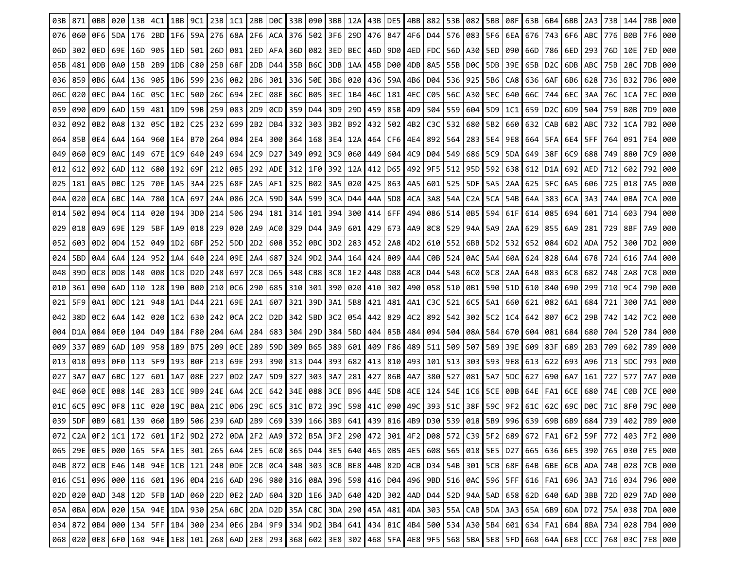| 03B | 871 | 0BB             | 020             | 13B       | 4C1                                                                                                                                                                                                       | 1BB       | 9C1             | 23B 1C1   |                             | 2BB             | DØC   33B       |     |                 |             | 090   3BB   12A   43B   DE5   4BB |           |                 |     |                 |           | 882 53B 082                       |           | 5BB 08F   | 63B | 6B4 I | 6BB                                | 2A3       | 73B | 144   | 7BB | 000 |
|-----|-----|-----------------|-----------------|-----------|-----------------------------------------------------------------------------------------------------------------------------------------------------------------------------------------------------------|-----------|-----------------|-----------|-----------------------------|-----------------|-----------------|-----|-----------------|-------------|-----------------------------------|-----------|-----------------|-----|-----------------|-----------|-----------------------------------|-----------|-----------|-----|-------|------------------------------------|-----------|-----|-------|-----|-----|
| 076 | 060 | 0F6             | 5DA             | 176       |                                                                                                                                                                                                           | 2BD 1F6   | 59A             | 276   68A |                             | 2F6             | ACA 376         |     |                 | 502 3F6 29D |                                   |           | 476   847       | 4F6 | D44             |           | 576   083   5F6                   |           | 6EA   676 |     | 743   | 6F6   ABC                          |           | 776 | B0B   | 7F6 | 000 |
| 06D | 302 |                 | 0ED   69E       | 16D       | 905   1ED                                                                                                                                                                                                 |           | 501             | 26D   081 |                             | 2ED             | AFA 136D        |     | 082             |             | 3ED   BEC                         | 46D       | 9D0   4ED       |     |                 |           | FDC   56D   A30   5ED             |           | 090   66D |     | 786   | 6ED                                | 293       | 76D | 10E   | 7ED | 000 |
| 05B | 481 | 9DB             |                 | 0A0   15B | 2B9   1DB                                                                                                                                                                                                 |           | C80             | 25B   68F |                             |                 | 2DB D44 35B     |     |                 |             | B6C 3DB   1AA   45B   D00   4DB   |           |                 |     |                 |           | 8A5   55B   DØC   5DB   39E   65B |           |           |     | D2C   | 6DB   ABC                          |           | 75B | 28C   | 7DB | 000 |
| 036 | 859 | 0B6 I           | 6A4             | 136       | 905   1B6                                                                                                                                                                                                 |           | 599             | 236 082   |                             | 2B6             | 301   336       |     | 50E             | 3B6   020   |                                   |           | 436   59A   4B6 |     | D04             |           | 536 925 5B6                       |           | CA8   636 |     | 6AF   | 6B6                                | 628       | 736 | B32   | 7B6 | 000 |
| 06C | 020 |                 | 0EC   0A4   16C |           | 05C I 1EC                                                                                                                                                                                                 |           | 500             |           | 26C   694 <b> </b> 2EC      |                 | 08E   36C       |     | B05             |             | 3EC   1B4 <b> </b> 46C            |           | 181   4EC       |     |                 |           | C05   56C   A30   5EC             |           | 640   66C |     | 744   |                                    | 6EC   3AA | 76C | 1CA   | 7EC | 000 |
| 059 | 090 | 0D9             |                 | 6AD   159 | 481 I 1D9                                                                                                                                                                                                 |           | 59B             |           | 259   083                   |                 | 2D9   0CD   359 |     |                 |             | D44 3D9 29D 459 85B 4D9           |           |                 |     |                 |           | 504   559   604   5D9             |           | 1C11659   |     |       | D <sub>2</sub> C   6D <sub>9</sub> | 5041      | 759 | B0B   | 7D9 | 000 |
| 032 | 092 | 0B2             | 0A8             | 132       | 05C I 1B2                                                                                                                                                                                                 |           | C <sub>25</sub> | 232   699 |                             | 2B2             | DB4   332       |     | 303             |             | 3B2   B92 <b> </b> 432            |           | 502   4B2       |     | C3C             | 5321      | 680   5B2                         |           | 660   632 |     | CAB   | 6B2                                | ABC       | 732 | 1CA   | 7B2 | 000 |
| 064 | 85B |                 | 0E4   6A4   164 |           |                                                                                                                                                                                                           | 960   1E4 | B70             |           | 264   084   2E4             |                 | 300   364       |     |                 |             | 168   3E4   12A   464   CF6   4E4 |           |                 |     |                 |           | 892   564   283   5E4             |           | 9E8   664 |     | 5FA   |                                    | 6E4   5FF | 764 | 091   | 7E4 | 000 |
| 049 | 060 | 0C9             | 0AC.            | 149       | 67E I 1C9                                                                                                                                                                                                 |           | 640             |           | 249   694                   | 2C9             | D27 I           | 349 |                 |             | 092 3C9 060                       |           | 449 604 4C9     |     | D04             |           | 549   686   5C9                   |           | 5DA   649 |     | 38F   | 6C9                                | 688       | 749 | 880   | 7C9 | 000 |
| 012 | 612 | 092             | 6AD.            | 112       |                                                                                                                                                                                                           | 680   192 | 69F             | 212   085 |                             | 292             | ADE   312       |     | 1F0             |             | 392   12A <b> </b> 412            |           | D65   492       |     | 9F5             |           | 512   95D                         | l 592     | 638   612 |     | D1A   | 692                                | AED       | 712 | 602   | 792 | 000 |
| 025 | 181 |                 | 0A5   0BC   125 |           |                                                                                                                                                                                                           | 70E I 1A5 | 3A4             |           | 225   68F   2A5   AF1   325 |                 |                 |     |                 |             | B02 3A5   020   425   863   4A5   |           |                 |     |                 |           | 601   525   5DF   5A5             |           | 2AA   625 |     | 5FC   |                                    | 6A5   606 | 725 | 018 I | 7A5 | 000 |
| 04A | 020 | 9CA             | 6BC I           | 14A       | 780 I 1CA                                                                                                                                                                                                 |           | 697             | 24A       | 086                         | 2CA             | 59D   34A       |     | 599             |             | 3CA   D44 <b> </b>                |           | 44A   5D8   4CA |     |                 |           | 3A8   54A   C2A   5CA             |           | 54B   64A |     | 383   | 6CA                                | 3A3       | 74A | 0BA   | 7CA | 000 |
| 014 | 502 | -094 I          | 0C4             | 114       |                                                                                                                                                                                                           | 0201194   | 3D0             | 214       | 506                         | 294             | 181 I           | 314 | 101             | 394         |                                   | 300   414 | 6FF   494       |     | 086             |           | 514   0B5                         | 594       | 61F       | 614 | 085   | 694                                | 601       | 714 | 603   | 794 | 000 |
| 029 | 018 |                 | 0A9   69E   129 |           | 5BF   1A9                                                                                                                                                                                                 |           | 018             |           | 229   020   2A9             |                 | AC0 329         |     | D44             |             | 3A9   601   429   673   4A9       |           |                 |     |                 |           | 8C8 529 94A 5A9                   |           | 2AA   629 |     | 855   | 6A9                                | 281       | 729 | 8BF   | 7A9 | 000 |
| 052 | 603 | 0D <sub>2</sub> | 0D4.            | 152       | 049 I                                                                                                                                                                                                     | 1D2       | 6BF             | 252       | 5DD                         | 2D <sub>2</sub> | 608 352         |     | 0BC             | 3D2         | 283   452                         |           | 2A8   4D2       |     | 610             | 552   6BB |                                   | 5D2       | 5321652   |     | 084   | 6D2                                | ADA       | 752 | 300   | 7D2 | 000 |
| 024 | 5BD | 0A4             | 6A4 I           | 124       |                                                                                                                                                                                                           | 952 I 1A4 | 640             |           | 224 09E                     | 2A4             | 687   324       |     | 9D <sub>2</sub> | 3A4         | 164 I                             | 424       | 809   4A4       |     | C0B             |           | 524   0AC                         | 5A4       | 60A I     | 624 | 828   | 6A4                                | 678       | 724 | 616   | 7A4 | 000 |
| 048 | 39D |                 |                 |           | 0C8   0D8   148   008   1C8                                                                                                                                                                               |           | D2D             |           | 248   697   2C8   D65   348 |                 |                 |     |                 |             | CB8 3C8   1E2   448   D88   4C8   |           |                 |     |                 |           | D44   548   6C0   5C8             |           | 2AA   648 |     | 083 I |                                    | 6C8 682   | 748 | 2A8   | 7C8 | 000 |
| 010 | 361 | 090             | 6AD.            | 110       | 128   190                                                                                                                                                                                                 |           | B00             |           | 210 0C6                     | 290             | 685   310       |     | 301             |             | 390   020   410                   |           | 302   490       |     | 058             |           | 510 0B1                           | 590       | 51D   610 |     | 840   | 690                                | 299       | 710 | 9C4   | 790 | 000 |
| 021 | 5F9 | 0A1             | 0DC.            | 121       | 948 I 1A1                                                                                                                                                                                                 |           | D44             |           | 221   69E                   | -2A1            | 607   321       |     | 39D I           |             | 3A1   5B8   421   481   4A1       |           |                 |     | C <sub>3C</sub> |           | 521   6C5 <b> </b> 5A1            |           | 660   621 |     | 082   | 6A1                                | 684       | 721 | 300   | 7A1 | 000 |
| 042 | 38D |                 | 0C2   6A4   142 |           | 020   1C2                                                                                                                                                                                                 |           | 630             |           | 242   0CA <b> </b> 2C2      |                 | D2D   342       |     |                 |             | 5BD 3C2   054   442   829   4C2   |           |                 |     | 892             |           | 542   302   5C2                   |           | $1C4$ 642 |     | 807   | $6C2$   29B                        |           | 742 | 142   | 7C2 | 000 |
| 004 | D1A | 984 ∣           |                 | 0E01104   |                                                                                                                                                                                                           | D49   184 | F80             |           | 204   6A4 <b> </b>          | 284             | 683   304       |     |                 |             | 29D   384   5BD   404             |           | 85B   484       |     | 094             |           | 504   08A   584                   |           | 6701604   |     | 081   | 684                                | 680       | 704 | 5201  | 784 | 000 |
| 009 | 337 | 089             | 6AD.            | 109       | 958   189                                                                                                                                                                                                 |           | B75             | 209   0CE |                             | 289             | 59D I           | 309 | B65             |             | 389   601                         |           | 409   F86   489 |     | 511             |           | 509   507   589                   |           | 39E I 609 |     | 83F   | 689   2B3                          |           | 709 | 602   | 789 | 000 |
| 013 | 018 |                 |                 |           | 093   0F0   113   5F9   193                                                                                                                                                                               |           | B0F             |           | 213   69E   293   390   313 |                 |                 |     |                 |             | D44   393   682   413   810   493 |           |                 |     |                 |           | 101   513   303   593   9E8   613 |           |           |     | 622   |                                    | 693   A96 | 713 | -5DC  | 793 | 000 |
| 027 | 3A7 | 0A7             | 6BC             | 127       | 601   1A7                                                                                                                                                                                                 |           | 08E             | 227       | 0D2 I                       | 2A7             | 5D9 I           | 327 | 303             | 3A7         | 281 I                             | 427       | 86B   4A7       |     | 380             | 527       | 081 I                             | 5A7       | 5DC 1627  |     | 690   | 6A7                                | 161       | 727 | 577   | 7A7 | 000 |
| 04E | 060 | <b>0CE</b>      |                 | 088   14E | 283   1CE                                                                                                                                                                                                 |           | 9B9             |           | 24E   6A4 <b> </b>          |                 | 2CE   642   34E |     |                 |             | 088   3CE   B96   44E   5D8   4CE |           |                 |     |                 |           | 124   54E   1C6   5CE   0BB   64E |           |           |     | FA1   |                                    | 6CE   680 | 74E | C0B I | 7CE | 000 |
| 01C | 6C5 | 09C             | 0F8 I           | 11C       | 020 19C                                                                                                                                                                                                   |           | B0A             | 21C       | 0D6                         | 29C             | 6C5 31C         |     | B72             |             | 39C   598 <b> </b> 41C            |           | 090 49C         |     |                 | 393   51C |                                   | 38F   59C | 9F2 61C   |     | 62C   | 69C                                | D0C       | 71C | 8F0   | 79C | 000 |
| 039 | 5DF | 0B9             |                 | 681   139 |                                                                                                                                                                                                           | 060 1B9   | 506             | 239       | 6AD                         | 2B9             | $C69$ 339       |     |                 | $166$   3B9 | 641 439                           |           | $816$ 4B9       |     | D30             |           | 539 018 5B9                       |           | 996 639   |     | 69B   | 6B9                                | 684 I     | 739 | 402   |     | 000 |
|     |     |                 |                 |           | 072   C2A   0F2   1C1   172   601   1F2   9D2   272   0DA   2F2   AA9   372   B5A   3F2   290   472   301   4F2   D08   572   C39   5F2   689   672   FA1   6F2   59F   772   403   7F2   000             |           |                 |           |                             |                 |                 |     |                 |             |                                   |           |                 |     |                 |           |                                   |           |           |     |       |                                    |           |     |       |     |     |
|     |     |                 |                 |           | 065   29E   0E5   000   165   5FA   1E5   301   265   6A4   2E5   6C0   365   D44   3E5   640   465   0B5   4E5   608   565   018   5E5   D27   665   636   6E5   390   765   030   7E5   000   7E5   000 |           |                 |           |                             |                 |                 |     |                 |             |                                   |           |                 |     |                 |           |                                   |           |           |     |       |                                    |           |     |       |     |     |
|     |     |                 |                 |           | 04B   872   0CB   E46   14B   94E   1CB   121   24B   0DE   2CB   0C4   34B   303   3CB   BE8   44B   82D   4CB   D34   54B   301   5CB   68F   64B   6BE   6CB   ADA   74B   028   7CB   000             |           |                 |           |                             |                 |                 |     |                 |             |                                   |           |                 |     |                 |           |                                   |           |           |     |       |                                    |           |     |       |     |     |
|     |     |                 |                 |           | 016 651 096 000 116 601 196 004 216 6AD 296 980 316 08A 396 598 416 004 496 9BD 516 0AC 596 5FF 616 FA1 696 3A3 716 034 796 000                                                                           |           |                 |           |                             |                 |                 |     |                 |             |                                   |           |                 |     |                 |           |                                   |           |           |     |       |                                    |           |     |       |     |     |
|     |     |                 |                 |           | 020   020   040   348   120   5FB   1AD   060   22D   0E2   2AD   604   32D   1E6   3AD   640   42D   302   4AD   D44   52D   94A   5AD   658   62D   640   640   3BB   72D   029   7AD   000             |           |                 |           |                             |                 |                 |     |                 |             |                                   |           |                 |     |                 |           |                                   |           |           |     |       |                                    |           |     |       |     |     |
|     |     |                 |                 |           | 05A   0BA   0DA   020   15A   94E   1DA   930   25A   6BC   2DA   D2D   35A   C8C   3DA   290   45A   481   4DA   303   55A   CAB   5DA   3A3   65A   6B9   6DA   D72   75A   038   7DA   000             |           |                 |           |                             |                 |                 |     |                 |             |                                   |           |                 |     |                 |           |                                   |           |           |     |       |                                    |           |     |       |     |     |
|     |     |                 |                 |           | 034   872   084   000   134   5FF   184   300   234   0E6   284   9F9   334   9D2   384   641   434   81C   4B4   500   534   A30   5B4   601   634   FA1   6B4   8BA   734   028   7B4   000   7B4   000 |           |                 |           |                             |                 |                 |     |                 |             |                                   |           |                 |     |                 |           |                                   |           |           |     |       |                                    |           |     |       |     |     |
|     |     |                 |                 |           | 068   020   0E8   6F0   168   94E   1E8   101   268   6AD   2E8   293   368   602   3E8   302   468   5FA   4E8   9F5   568   5BA   5E8   5FD   668   64A   6E8   CCC   768   03C   7E8   000             |           |                 |           |                             |                 |                 |     |                 |             |                                   |           |                 |     |                 |           |                                   |           |           |     |       |                                    |           |     |       |     |     |